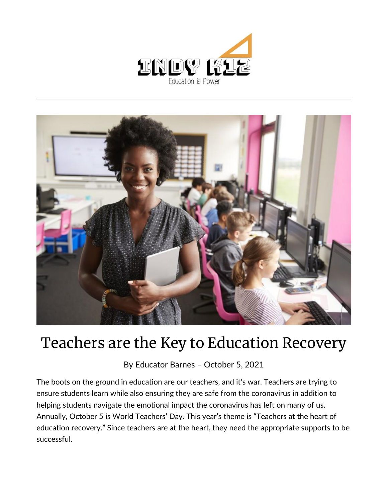



## Teachers are the Key to Education Recovery

By [Educator Barnes](https://indy.education/author/shicole/) – October 5, 2021

The boots on the ground in education are our teachers, and it's war. Teachers are trying to ensure students learn while also ensuring they are safe from the coronavirus in addition to helping students navigate the emotional impact the coronavirus has left on many of us. Annually, October 5 is World Teachers' Day. This year's theme is "Teachers at the heart of education recovery." Since teachers are at the heart, they need the appropriate supports to be successful.